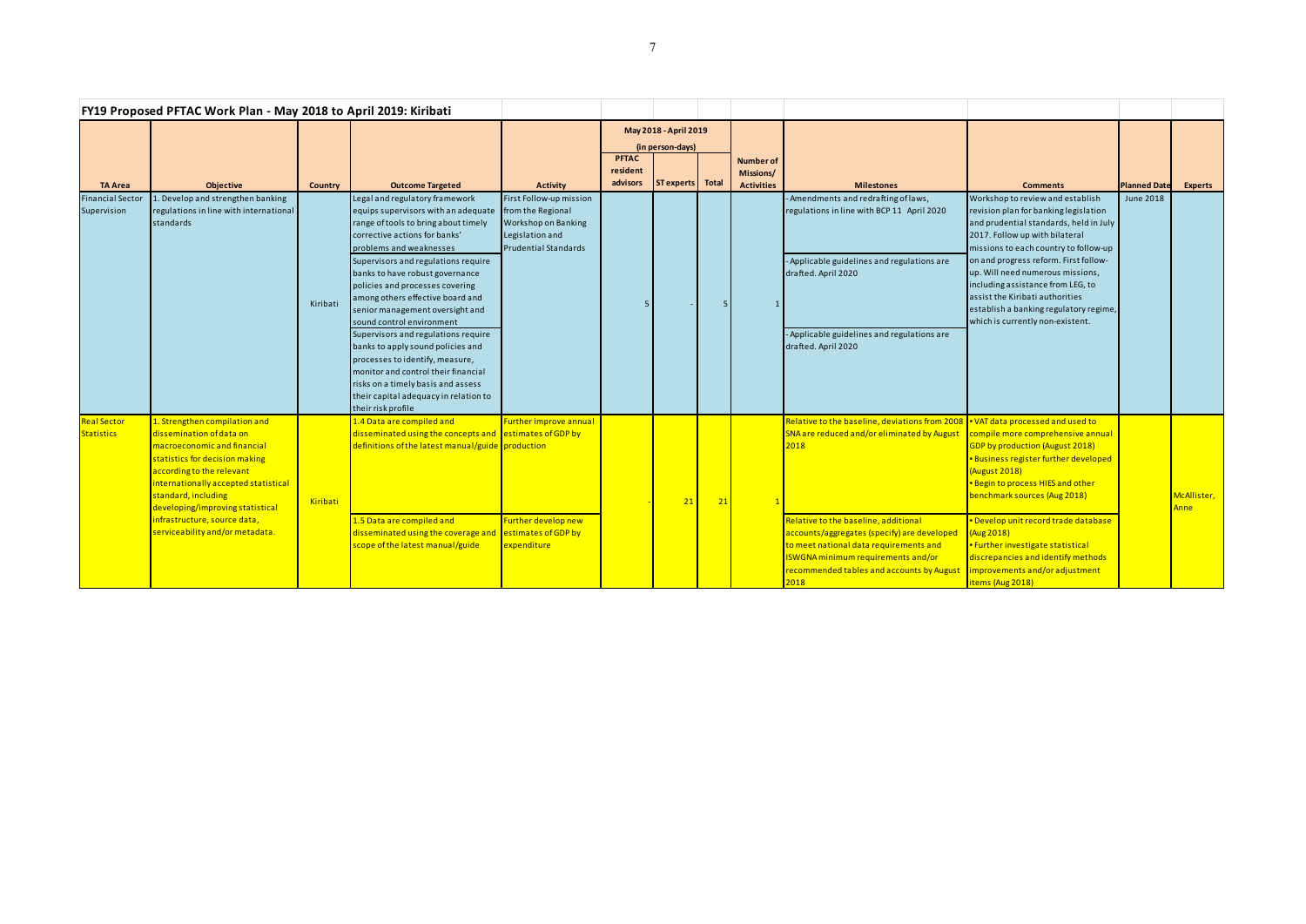| FY19 Proposed PFTAC Work Plan - May 2018 to April 2019: Kiribati |                                                                                                                                                                                                                                                                                                                               |          |                                                                                                                                                                                                                                                                                                                                                                                                                                                                                                                                                                                                                                                       |                                                                                                                       |                                           |                  |    |                                                    |                                                                                                                                                                                                                                                                                                                                                                    |                                                                                                                                                                                                                                                                                                                                                                                                                                   |                     |                     |
|------------------------------------------------------------------|-------------------------------------------------------------------------------------------------------------------------------------------------------------------------------------------------------------------------------------------------------------------------------------------------------------------------------|----------|-------------------------------------------------------------------------------------------------------------------------------------------------------------------------------------------------------------------------------------------------------------------------------------------------------------------------------------------------------------------------------------------------------------------------------------------------------------------------------------------------------------------------------------------------------------------------------------------------------------------------------------------------------|-----------------------------------------------------------------------------------------------------------------------|-------------------------------------------|------------------|----|----------------------------------------------------|--------------------------------------------------------------------------------------------------------------------------------------------------------------------------------------------------------------------------------------------------------------------------------------------------------------------------------------------------------------------|-----------------------------------------------------------------------------------------------------------------------------------------------------------------------------------------------------------------------------------------------------------------------------------------------------------------------------------------------------------------------------------------------------------------------------------|---------------------|---------------------|
|                                                                  |                                                                                                                                                                                                                                                                                                                               |          |                                                                                                                                                                                                                                                                                                                                                                                                                                                                                                                                                                                                                                                       |                                                                                                                       | May 2018 - April 2019<br>(in person-days) |                  |    |                                                    |                                                                                                                                                                                                                                                                                                                                                                    |                                                                                                                                                                                                                                                                                                                                                                                                                                   |                     |                     |
| TA Area                                                          | Objective                                                                                                                                                                                                                                                                                                                     | Country  | <b>Outcome Targeted</b>                                                                                                                                                                                                                                                                                                                                                                                                                                                                                                                                                                                                                               | <b>Activity</b>                                                                                                       | <b>PFTAC</b><br>resident<br>advisors      | ST experts Total |    | <b>Number of</b><br>Missions/<br><b>Activities</b> | <b>Milestones</b>                                                                                                                                                                                                                                                                                                                                                  | <b>Comments</b>                                                                                                                                                                                                                                                                                                                                                                                                                   | <b>Planned Date</b> | <b>Experts</b>      |
| <b>Financial Sector</b><br>Supervision                           | . Develop and strengthen banking<br>regulations in line with international<br>standards                                                                                                                                                                                                                                       | Kiribati | Legal and regulatory framework<br>equips supervisors with an adequate<br>range of tools to bring about timely<br>corrective actions for banks'<br>problems and weaknesses<br>Supervisors and regulations require<br>banks to have robust governance<br>policies and processes covering<br>among others effective board and<br>senior management oversight and<br>sound control environment<br>Supervisors and regulations require<br>banks to apply sound policies and<br>processes to identify, measure,<br>monitor and control their financial<br>risks on a timely basis and assess<br>their capital adequacy in relation to<br>their risk profile | First Follow-up mission<br>from the Regional<br>Workshop on Banking<br>Legislation and<br><b>Prudential Standards</b> |                                           |                  |    | $\mathbf{1}$                                       | - Amendments and redrafting of laws,<br>regulations in line with BCP 11 April 2020<br>- Applicable guidelines and regulations are<br>drafted. April 2020<br>- Applicable guidelines and regulations are<br>drafted. April 2020                                                                                                                                     | Workshop to review and establish<br>revision plan for banking legislation<br>and prudential standards, held in July<br>2017. Follow up with bilateral<br>missions to each country to follow-up<br>on and progress reform. First follow-<br>up. Will need numerous missions,<br>including assistance from LEG, to<br>assist the Kiribati authorities<br>establish a banking regulatory regime,<br>which is currently non-existent. | <b>June 2018</b>    |                     |
| <b>Real Sector</b><br><b>Statistics</b>                          | 1. Strengthen compilation and<br>dissemination of data on<br>macroeconomic and financial<br>statistics for decision making<br>according to the relevant<br>internationally accepted statistical<br>standard, including<br>developing/improving statistical<br>infrastructure, source data,<br>serviceability and/or metadata. | Kiribati | 1.4 Data are compiled and<br>disseminated using the concepts and $\sqrt{\frac{1}{1}}$ estimates of GDP by<br>definitions of the latest manual/guide production<br>1.5 Data are compiled and<br>disseminated using the coverage and<br>scope of the latest manual/guide                                                                                                                                                                                                                                                                                                                                                                                | <b>Further improve annual</b><br>Further develop new<br>estimates of GDP by<br>expenditure                            |                                           | 21               | 21 |                                                    | Relative to the baseline, deviations from 2008 • VAT data processed and used to<br>SNA are reduced and/or eliminated by August<br>2018<br>Relative to the baseline, additional<br>accounts/aggregates (specify) are developed<br>to meet national data requirements and<br>ISWGNA minimum requirements and/or<br>recommended tables and accounts by August<br>2018 | compile more comprehensive annual<br><b>GDP by production (August 2018)</b><br>Business register further developed<br>(August 2018)<br><b>Begin to process HIES and other</b><br>benchmark sources (Aug 2018)<br>Develop unit record trade database<br>(Aug 2018)<br>· Further investigate statistical<br>discrepancies and identify methods<br>improvements and/or adjustment<br>items (Aug 2018)                                |                     | McAllister,<br>Anne |